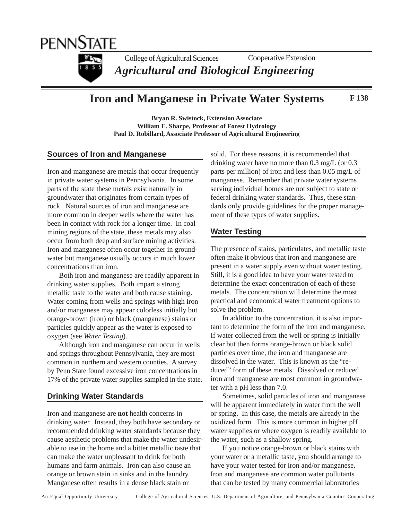

#### **Iron and Manganese in Private Water Systems F 138**

**Bryan R. Swistock, Extension Associate William E. Sharpe, Professor of Forest Hydrology Paul D. Robillard, Associate Professor of Agricultural Engineering**

#### **Sources of Iron and Manganese**

Iron and manganese are metals that occur frequently in private water systems in Pennsylvania. In some parts of the state these metals exist naturally in groundwater that originates from certain types of rock. Natural sources of iron and manganese are more common in deeper wells where the water has been in contact with rock for a longer time. In coal mining regions of the state, these metals may also occur from both deep and surface mining activities. Iron and manganese often occur together in groundwater but manganese usually occurs in much lower concentrations than iron.

Both iron and manganese are readily apparent in drinking water supplies. Both impart a strong metallic taste to the water and both cause staining. Water coming from wells and springs with high iron and/or manganese may appear colorless initially but orange-brown (iron) or black (manganese) stains or particles quickly appear as the water is exposed to oxygen (see *Water Testing*).

Although iron and manganese can occur in wells and springs throughout Pennsylvania, they are most common in northern and western counties. A survey by Penn State found excessive iron concentrations in 17% of the private water supplies sampled in the state.

### **Drinking Water Standards**

Iron and manganese are **not** health concerns in drinking water. Instead, they both have secondary or recommended drinking water standards because they cause aesthetic problems that make the water undesirable to use in the home and a bitter metallic taste that can make the water unpleasant to drink for both humans and farm animals. Iron can also cause an orange or brown stain in sinks and in the laundry. Manganese often results in a dense black stain or

solid. For these reasons, it is recommended that drinking water have no more than 0.3 mg/L (or 0.3 parts per million) of iron and less than 0.05 mg/L of manganese. Remember that private water systems serving individual homes are not subject to state or federal drinking water standards. Thus, these standards only provide guidelines for the proper management of these types of water supplies.

#### **Water Testing**

The presence of stains, particulates, and metallic taste often make it obvious that iron and manganese are present in a water supply even without water testing. Still, it is a good idea to have your water tested to determine the exact concentration of each of these metals. The concentration will determine the most practical and economical water treatment options to solve the problem.

In addition to the concentration, it is also important to determine the form of the iron and manganese. If water collected from the well or spring is initially clear but then forms orange-brown or black solid particles over time, the iron and manganese are dissolved in the water. This is known as the "reduced" form of these metals. Dissolved or reduced iron and manganese are most common in groundwater with a pH less than 7.0.

Sometimes, solid particles of iron and manganese will be apparent immediately in water from the well or spring. In this case, the metals are already in the oxidized form. This is more common in higher pH water supplies or where oxygen is readily available to the water, such as a shallow spring.

If you notice orange-brown or black stains with your water or a metallic taste, you should arrange to have your water tested for iron and/or manganese. Iron and manganese are common water pollutants that can be tested by many commercial laboratories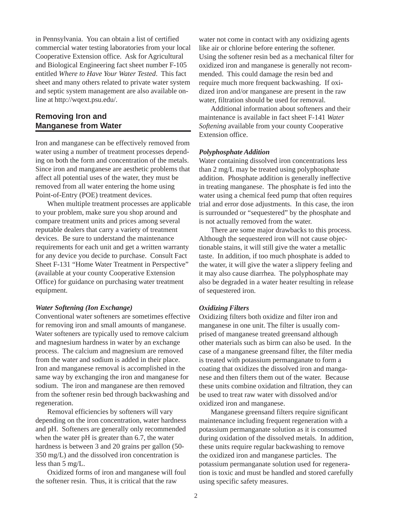in Pennsylvania. You can obtain a list of certified commercial water testing laboratories from your local Cooperative Extension office. Ask for Agricultural and Biological Engineering fact sheet number F-105 entitled *Where to Have Your Water Tested*. This fact sheet and many others related to private water system and septic system management are also available online at http://wqext.psu.edu/.

## **Removing Iron and Manganese from Water**

Iron and manganese can be effectively removed from water using a number of treatment processes depending on both the form and concentration of the metals. Since iron and manganese are aesthetic problems that affect all potential uses of the water, they must be removed from all water entering the home using Point-of-Entry (POE) treatment devices.

When multiple treatment processes are applicable to your problem, make sure you shop around and compare treatment units and prices among several reputable dealers that carry a variety of treatment devices. Be sure to understand the maintenance requirements for each unit and get a written warranty for any device you decide to purchase. Consult Fact Sheet F-131 "Home Water Treatment in Perspective" (available at your county Cooperative Extension Office) for guidance on purchasing water treatment equipment.

#### *Water Softening (Ion Exchange)*

Conventional water softeners are sometimes effective for removing iron and small amounts of manganese. Water softeners are typically used to remove calcium and magnesium hardness in water by an exchange process. The calcium and magnesium are removed from the water and sodium is added in their place. Iron and manganese removal is accomplished in the same way by exchanging the iron and manganese for sodium. The iron and manganese are then removed from the softener resin bed through backwashing and regeneration.

Removal efficiencies by softeners will vary depending on the iron concentration, water hardness and pH. Softeners are generally only recommended when the water pH is greater than 6.7, the water hardness is between 3 and 20 grains per gallon (50- 350 mg/L) and the dissolved iron concentration is less than 5 mg/L.

Oxidized forms of iron and manganese will foul the softener resin. Thus, it is critical that the raw

water not come in contact with any oxidizing agents like air or chlorine before entering the softener. Using the softener resin bed as a mechanical filter for oxidized iron and manganese is generally not recommended. This could damage the resin bed and require much more frequent backwashing. If oxidized iron and/or manganese are present in the raw water, filtration should be used for removal.

Additional information about softeners and their maintenance is available in fact sheet F-141 *Water Softening* available from your county Cooperative Extension office.

#### *Polyphosphate Addition*

Water containing dissolved iron concentrations less than 2 mg/L may be treated using polyphosphate addition. Phosphate addition is generally ineffective in treating manganese. The phosphate is fed into the water using a chemical feed pump that often requires trial and error dose adjustments. In this case, the iron is surrounded or "sequestered" by the phosphate and is not actually removed from the water.

There are some major drawbacks to this process. Although the sequestered iron will not cause objectionable stains, it will still give the water a metallic taste. In addition, if too much phosphate is added to the water, it will give the water a slippery feeling and it may also cause diarrhea. The polyphosphate may also be degraded in a water heater resulting in release of sequestered iron.

#### *Oxidizing Filters*

Oxidizing filters both oxidize and filter iron and manganese in one unit. The filter is usually comprised of manganese treated greensand although other materials such as birm can also be used. In the case of a manganese greensand filter, the filter media is treated with potassium permanganate to form a coating that oxidizes the dissolved iron and manganese and then filters them out of the water. Because these units combine oxidation and filtration, they can be used to treat raw water with dissolved and/or oxidized iron and manganese.

Manganese greensand filters require significant maintenance including frequent regeneration with a potassium permanganate solution as it is consumed during oxidation of the dissolved metals. In addition, these units require regular backwashing to remove the oxidized iron and manganese particles. The potassium permanganate solution used for regeneration is toxic and must be handled and stored carefully using specific safety measures.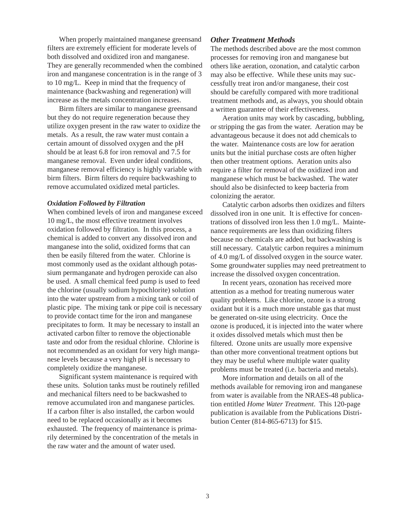When properly maintained manganese greensand filters are extremely efficient for moderate levels of both dissolved and oxidized iron and manganese. They are generally recommended when the combined iron and manganese concentration is in the range of 3 to 10 mg/L. Keep in mind that the frequency of maintenance (backwashing and regeneration) will increase as the metals concentration increases.

Birm filters are similar to manganese greensand but they do not require regeneration because they utilize oxygen present in the raw water to oxidize the metals. As a result, the raw water must contain a certain amount of dissolved oxygen and the pH should be at least 6.8 for iron removal and 7.5 for manganese removal. Even under ideal conditions, manganese removal efficiency is highly variable with birm filters. Birm filters do require backwashing to remove accumulated oxidized metal particles.

#### *Oxidation Followed by Filtration*

When combined levels of iron and manganese exceed 10 mg/L, the most effective treatment involves oxidation followed by filtration. In this process, a chemical is added to convert any dissolved iron and manganese into the solid, oxidized forms that can then be easily filtered from the water. Chlorine is most commonly used as the oxidant although potassium permanganate and hydrogen peroxide can also be used. A small chemical feed pump is used to feed the chlorine (usually sodium hypochlorite) solution into the water upstream from a mixing tank or coil of plastic pipe. The mixing tank or pipe coil is necessary to provide contact time for the iron and manganese precipitates to form. It may be necessary to install an activated carbon filter to remove the objectionable taste and odor from the residual chlorine. Chlorine is not recommended as an oxidant for very high manganese levels because a very high pH is necessary to completely oxidize the manganese.

Significant system maintenance is required with these units. Solution tanks must be routinely refilled and mechanical filters need to be backwashed to remove accumulated iron and manganese particles. If a carbon filter is also installed, the carbon would need to be replaced occasionally as it becomes exhausted. The frequency of maintenance is primarily determined by the concentration of the metals in the raw water and the amount of water used.

#### *Other Treatment Methods*

The methods described above are the most common processes for removing iron and manganese but others like aeration, ozonation, and catalytic carbon may also be effective. While these units may successfully treat iron and/or manganese, their cost should be carefully compared with more traditional treatment methods and, as always, you should obtain a written guarantee of their effectiveness.

Aeration units may work by cascading, bubbling, or stripping the gas from the water. Aeration may be advantageous because it does not add chemicals to the water. Maintenance costs are low for aeration units but the initial purchase costs are often higher then other treatment options. Aeration units also require a filter for removal of the oxidized iron and manganese which must be backwashed. The water should also be disinfected to keep bacteria from colonizing the aerator.

Catalytic carbon adsorbs then oxidizes and filters dissolved iron in one unit. It is effective for concentrations of dissolved iron less then 1.0 mg/L. Maintenance requirements are less than oxidizing filters because no chemicals are added, but backwashing is still necessary. Catalytic carbon requires a minimum of 4.0 mg/L of dissolved oxygen in the source water. Some groundwater supplies may need pretreatment to increase the dissolved oxygen concentration.

In recent years, ozonation has received more attention as a method for treating numerous water quality problems. Like chlorine, ozone is a strong oxidant but it is a much more unstable gas that must be generated on-site using electricity. Once the ozone is produced, it is injected into the water where it oxides dissolved metals which must then be filtered. Ozone units are usually more expensive than other more conventional treatment options but they may be useful where multiple water quality problems must be treated (i.e. bacteria and metals).

More information and details on all of the methods available for removing iron and manganese from water is available from the NRAES-48 publication entitled *Home Water Treatment*. This 120-page publication is available from the Publications Distribution Center (814-865-6713) for \$15.